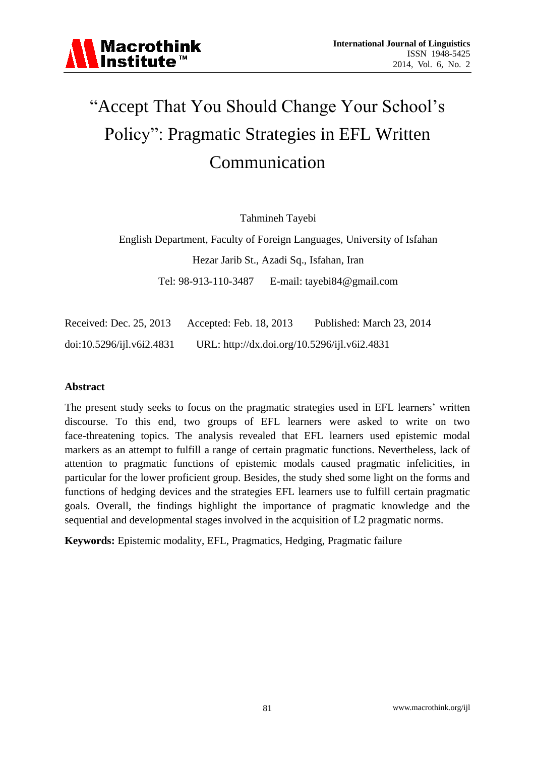

# "Accept That You Should Change Your School's Policy": Pragmatic Strategies in EFL Written Communication

Tahmineh Tayebi

English Department, Faculty of Foreign Languages, University of Isfahan Hezar Jarib St., Azadi Sq., Isfahan, Iran

Tel: 98-913-110-3487 E-mail: tayebi84@gmail.com

Received: Dec. 25, 2013 Accepted: Feb. 18, 2013 Published: March 23, 2014 doi:10.5296/ijl.v6i2.4831 URL: http://dx.doi.org/10.5296/ijl.v6i2.4831

#### **Abstract**

The present study seeks to focus on the pragmatic strategies used in EFL learners' written discourse. To this end, two groups of EFL learners were asked to write on two face-threatening topics. The analysis revealed that EFL learners used epistemic modal markers as an attempt to fulfill a range of certain pragmatic functions. Nevertheless, lack of attention to pragmatic functions of epistemic modals caused pragmatic infelicities, in particular for the lower proficient group. Besides, the study shed some light on the forms and functions of hedging devices and the strategies EFL learners use to fulfill certain pragmatic goals. Overall, the findings highlight the importance of pragmatic knowledge and the sequential and developmental stages involved in the acquisition of L2 pragmatic norms.

**Keywords:** Epistemic modality, EFL, Pragmatics, Hedging, Pragmatic failure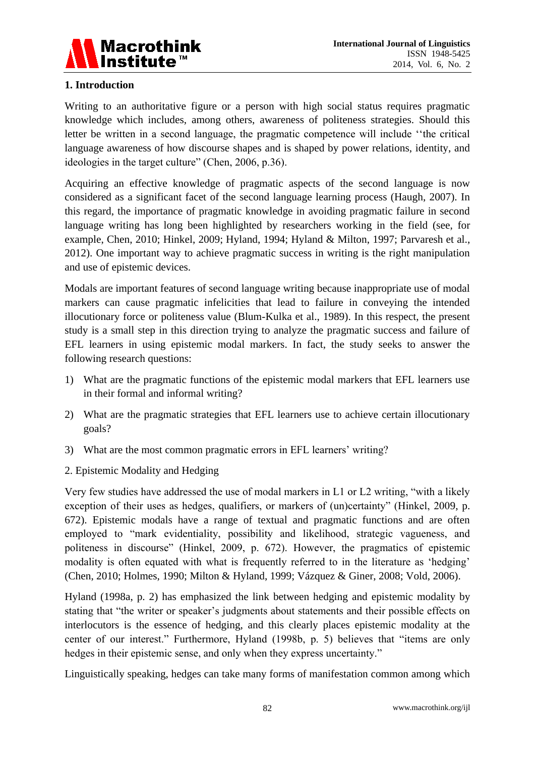

# **1. Introduction**

Writing to an authoritative figure or a person with high social status requires pragmatic knowledge which includes, among others, awareness of politeness strategies. Should this letter be written in a second language, the pragmatic competence will include ''the critical language awareness of how discourse shapes and is shaped by power relations, identity, and ideologies in the target culture" (Chen, 2006, p.36).

Acquiring an effective knowledge of pragmatic aspects of the second language is now considered as a significant facet of the second language learning process (Haugh, 2007). In this regard, the importance of pragmatic knowledge in avoiding pragmatic failure in second language writing has long been highlighted by researchers working in the field (see, for example, Chen, 2010; Hinkel, 2009; Hyland, 1994; Hyland & Milton, 1997; Parvaresh et al., 2012). One important way to achieve pragmatic success in writing is the right manipulation and use of epistemic devices.

Modals are important features of second language writing because inappropriate use of modal markers can cause pragmatic infelicities that lead to failure in conveying the intended illocutionary force or politeness value (Blum-Kulka et al., 1989). In this respect, the present study is a small step in this direction trying to analyze the pragmatic success and failure of EFL learners in using epistemic modal markers. In fact, the study seeks to answer the following research questions:

- 1) What are the pragmatic functions of the epistemic modal markers that EFL learners use in their formal and informal writing?
- 2) What are the pragmatic strategies that EFL learners use to achieve certain illocutionary goals?
- 3) What are the most common pragmatic errors in EFL learners' writing?
- 2. Epistemic Modality and Hedging

Very few studies have addressed the use of modal markers in L1 or L2 writing, "with a likely exception of their uses as hedges, qualifiers, or markers of (un)certainty" (Hinkel, 2009, p. 672). Epistemic modals have a range of textual and pragmatic functions and are often employed to "mark evidentiality, possibility and likelihood, strategic vagueness, and politeness in discourse" (Hinkel, 2009, p. 672). However, the pragmatics of epistemic modality is often equated with what is frequently referred to in the literature as 'hedging' (Chen, 2010; Holmes, 1990; Milton & Hyland, 1999; Vázquez & Giner, 2008; Vold, 2006).

Hyland (1998a, p. 2) has emphasized the link between hedging and epistemic modality by stating that "the writer or speaker's judgments about statements and their possible effects on interlocutors is the essence of hedging, and this clearly places epistemic modality at the center of our interest." Furthermore, Hyland (1998b, p. 5) believes that "items are only hedges in their epistemic sense, and only when they express uncertainty."

Linguistically speaking, hedges can take many forms of manifestation common among which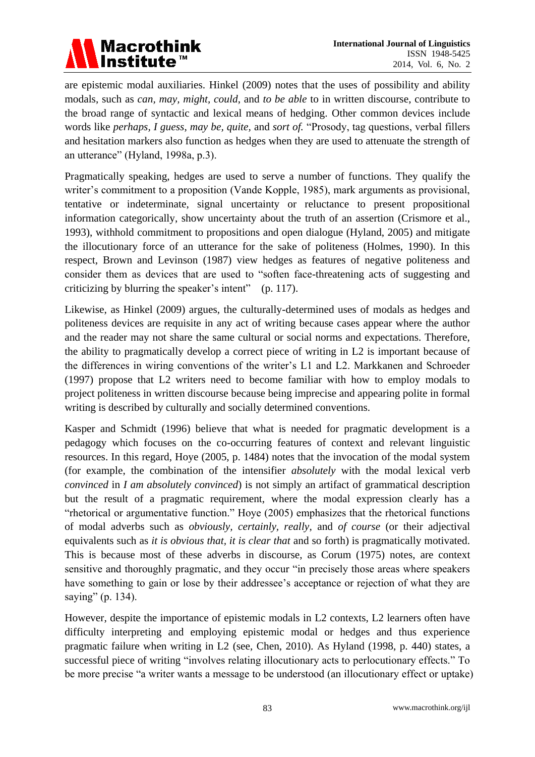

are epistemic modal auxiliaries. Hinkel (2009) notes that the uses of possibility and ability modals, such as *can, may, might, could*, and *to be able* to in written discourse, contribute to the broad range of syntactic and lexical means of hedging. Other common devices include words like *perhaps, I guess*, *may be, quite,* and *sort of.* "Prosody, tag questions, verbal fillers and hesitation markers also function as hedges when they are used to attenuate the strength of an utterance" (Hyland, 1998a, p.3).

Pragmatically speaking, hedges are used to serve a number of functions. They qualify the writer's commitment to a proposition (Vande Kopple, 1985), mark arguments as provisional, tentative or indeterminate, signal uncertainty or reluctance to present propositional information categorically, show uncertainty about the truth of an assertion (Crismore et al., 1993), withhold commitment to propositions and open dialogue (Hyland, 2005) and mitigate the illocutionary force of an utterance for the sake of politeness (Holmes, 1990). In this respect, Brown and Levinson (1987) view hedges as features of negative politeness and consider them as devices that are used to "soften face-threatening acts of suggesting and criticizing by blurring the speaker's intent" (p. 117).

Likewise, as Hinkel (2009) argues, the culturally-determined uses of modals as hedges and politeness devices are requisite in any act of writing because cases appear where the author and the reader may not share the same cultural or social norms and expectations. Therefore, the ability to pragmatically develop a correct piece of writing in L2 is important because of the differences in wiring conventions of the writer's L1 and L2. Markkanen and Schroeder (1997) propose that L2 writers need to become familiar with how to employ modals to project politeness in written discourse because being imprecise and appearing polite in formal writing is described by culturally and socially determined conventions.

Kasper and Schmidt (1996) believe that what is needed for pragmatic development is a pedagogy which focuses on the co-occurring features of context and relevant linguistic resources. In this regard, Hoye (2005, p. 1484) notes that the invocation of the modal system (for example, the combination of the intensifier *absolutely* with the modal lexical verb *convinced* in *I am absolutely convinced*) is not simply an artifact of grammatical description but the result of a pragmatic requirement, where the modal expression clearly has a "rhetorical or argumentative function." Hoye (2005) emphasizes that the rhetorical functions of modal adverbs such as *obviously, certainly, really*, and *of course* (or their adjectival equivalents such as *it is obvious that, it is clear that* and so forth) is pragmatically motivated. This is because most of these adverbs in discourse, as Corum (1975) notes, are context sensitive and thoroughly pragmatic, and they occur "in precisely those areas where speakers have something to gain or lose by their addressee's acceptance or rejection of what they are saying" (p. 134).

However, despite the importance of epistemic modals in L2 contexts, L2 learners often have difficulty interpreting and employing epistemic modal or hedges and thus experience pragmatic failure when writing in L2 (see, Chen, 2010). As Hyland (1998, p. 440) states, a successful piece of writing "involves relating illocutionary acts to perlocutionary effects." To be more precise "a writer wants a message to be understood (an illocutionary effect or uptake)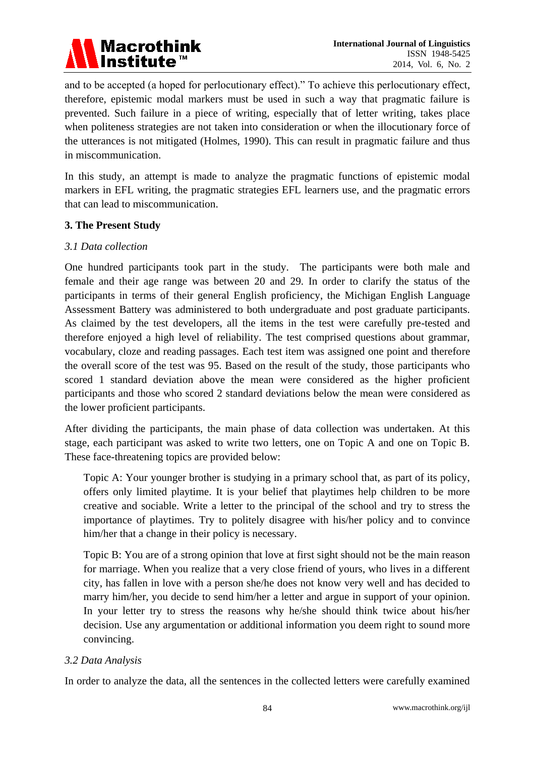

and to be accepted (a hoped for perlocutionary effect)." To achieve this perlocutionary effect, therefore, epistemic modal markers must be used in such a way that pragmatic failure is prevented. Such failure in a piece of writing, especially that of letter writing, takes place when politeness strategies are not taken into consideration or when the illocutionary force of the utterances is not mitigated (Holmes, 1990). This can result in pragmatic failure and thus in miscommunication.

In this study, an attempt is made to analyze the pragmatic functions of epistemic modal markers in EFL writing, the pragmatic strategies EFL learners use, and the pragmatic errors that can lead to miscommunication.

#### **3. The Present Study**

#### *3.1 Data collection*

One hundred participants took part in the study. The participants were both male and female and their age range was between 20 and 29. In order to clarify the status of the participants in terms of their general English proficiency, the Michigan English Language Assessment Battery was administered to both undergraduate and post graduate participants. As claimed by the test developers, all the items in the test were carefully pre-tested and therefore enjoyed a high level of reliability. The test comprised questions about grammar, vocabulary, cloze and reading passages. Each test item was assigned one point and therefore the overall score of the test was 95. Based on the result of the study, those participants who scored 1 standard deviation above the mean were considered as the higher proficient participants and those who scored 2 standard deviations below the mean were considered as the lower proficient participants.

After dividing the participants, the main phase of data collection was undertaken. At this stage, each participant was asked to write two letters, one on Topic A and one on Topic B. These face-threatening topics are provided below:

Topic A: Your younger brother is studying in a primary school that, as part of its policy, offers only limited playtime. It is your belief that playtimes help children to be more creative and sociable. Write a letter to the principal of the school and try to stress the importance of playtimes. Try to politely disagree with his/her policy and to convince him/her that a change in their policy is necessary.

Topic B: You are of a strong opinion that love at first sight should not be the main reason for marriage. When you realize that a very close friend of yours, who lives in a different city, has fallen in love with a person she/he does not know very well and has decided to marry him/her, you decide to send him/her a letter and argue in support of your opinion. In your letter try to stress the reasons why he/she should think twice about his/her decision. Use any argumentation or additional information you deem right to sound more convincing.

#### *3.2 Data Analysis*

In order to analyze the data, all the sentences in the collected letters were carefully examined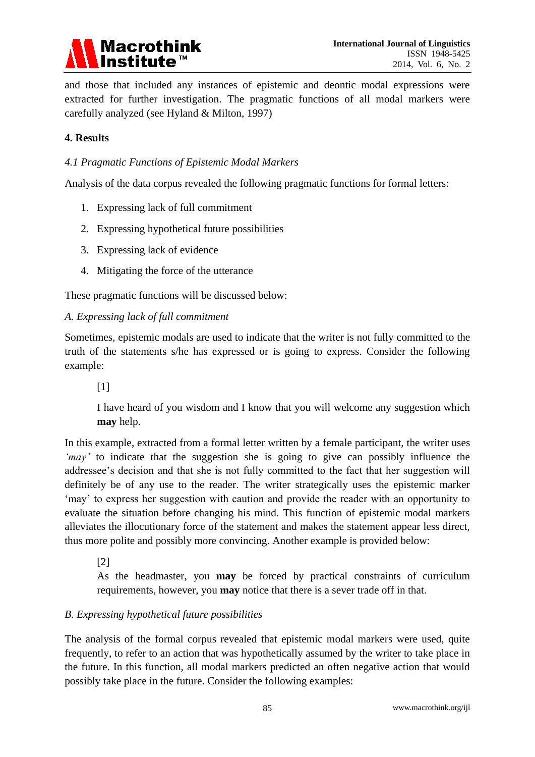

and those that included any instances of epistemic and deontic modal expressions were extracted for further investigation. The pragmatic functions of all modal markers were carefully analyzed (see Hyland & Milton, 1997)

#### **4. Results**

#### *4.1 Pragmatic Functions of Epistemic Modal Markers*

Analysis of the data corpus revealed the following pragmatic functions for formal letters:

- 1. Expressing lack of full commitment
- 2. Expressing hypothetical future possibilities
- 3. Expressing lack of evidence
- 4. Mitigating the force of the utterance

These pragmatic functions will be discussed below:

#### *A. Expressing lack of full commitment*

Sometimes, epistemic modals are used to indicate that the writer is not fully committed to the truth of the statements s/he has expressed or is going to express. Consider the following example:

 $[1]$ 

I have heard of you wisdom and I know that you will welcome any suggestion which **may** help.

In this example, extracted from a formal letter written by a female participant, the writer uses *'may'* to indicate that the suggestion she is going to give can possibly influence the addressee's decision and that she is not fully committed to the fact that her suggestion will definitely be of any use to the reader. The writer strategically uses the epistemic marker 'may' to express her suggestion with caution and provide the reader with an opportunity to evaluate the situation before changing his mind. This function of epistemic modal markers alleviates the illocutionary force of the statement and makes the statement appear less direct, thus more polite and possibly more convincing. Another example is provided below:

[2]

As the headmaster, you **may** be forced by practical constraints of curriculum requirements, however, you **may** notice that there is a sever trade off in that.

# *B. Expressing hypothetical future possibilities*

The analysis of the formal corpus revealed that epistemic modal markers were used, quite frequently, to refer to an action that was hypothetically assumed by the writer to take place in the future. In this function, all modal markers predicted an often negative action that would possibly take place in the future. Consider the following examples: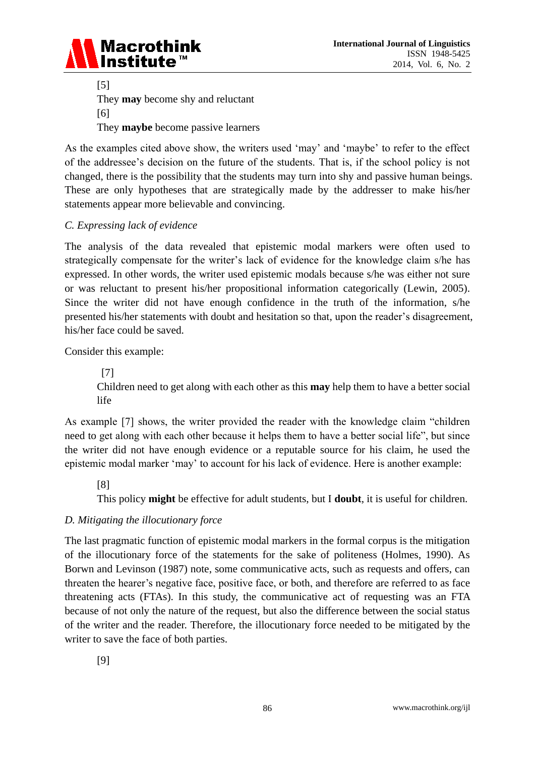

[5] They **may** become shy and reluctant [6] They **maybe** become passive learners

As the examples cited above show, the writers used 'may' and 'maybe' to refer to the effect of the addressee's decision on the future of the students. That is, if the school policy is not changed, there is the possibility that the students may turn into shy and passive human beings. These are only hypotheses that are strategically made by the addresser to make his/her statements appear more believable and convincing.

#### *C. Expressing lack of evidence*

The analysis of the data revealed that epistemic modal markers were often used to strategically compensate for the writer's lack of evidence for the knowledge claim s/he has expressed. In other words, the writer used epistemic modals because s/he was either not sure or was reluctant to present his/her propositional information categorically (Lewin, 2005). Since the writer did not have enough confidence in the truth of the information, s/he presented his/her statements with doubt and hesitation so that, upon the reader's disagreement, his/her face could be saved.

Consider this example:

[7] Children need to get along with each other as this **may** help them to have a better social life

As example [7] shows, the writer provided the reader with the knowledge claim "children need to get along with each other because it helps them to have a better social life", but since the writer did not have enough evidence or a reputable source for his claim, he used the epistemic modal marker 'may' to account for his lack of evidence. Here is another example:

# [8]

This policy **might** be effective for adult students, but I **doubt**, it is useful for children.

# *D. Mitigating the illocutionary force*

The last pragmatic function of epistemic modal markers in the formal corpus is the mitigation of the illocutionary force of the statements for the sake of politeness (Holmes, 1990). As Borwn and Levinson (1987) note, some communicative acts, such as requests and offers, can threaten the hearer's negative face, positive face, or both, and therefore are referred to as face threatening acts (FTAs). In this study, the communicative act of requesting was an FTA because of not only the nature of the request, but also the difference between the social status of the writer and the reader. Therefore, the illocutionary force needed to be mitigated by the writer to save the face of both parties.

[9]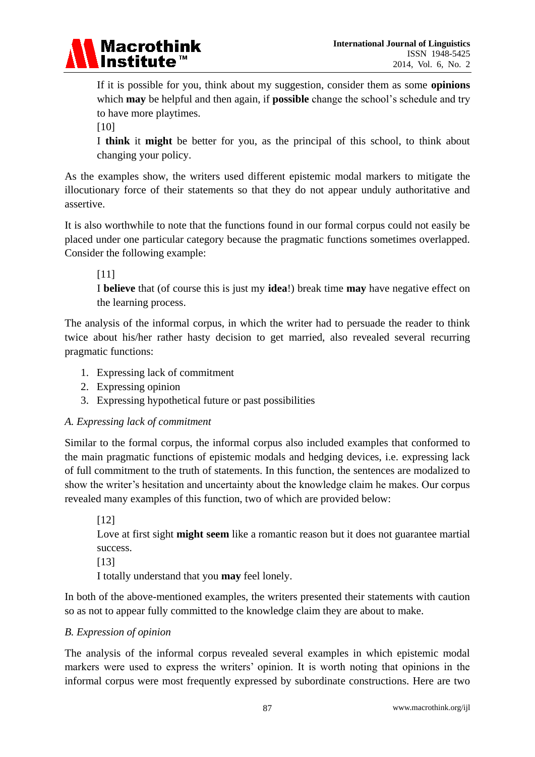

If it is possible for you, think about my suggestion, consider them as some **opinions** which **may** be helpful and then again, if **possible** change the school's schedule and try to have more playtimes.

[10]

I **think** it **might** be better for you, as the principal of this school, to think about changing your policy.

As the examples show, the writers used different epistemic modal markers to mitigate the illocutionary force of their statements so that they do not appear unduly authoritative and assertive.

It is also worthwhile to note that the functions found in our formal corpus could not easily be placed under one particular category because the pragmatic functions sometimes overlapped. Consider the following example:

[11]

I **believe** that (of course this is just my **idea**!) break time **may** have negative effect on the learning process.

The analysis of the informal corpus, in which the writer had to persuade the reader to think twice about his/her rather hasty decision to get married, also revealed several recurring pragmatic functions:

- 1. Expressing lack of commitment
- 2. Expressing opinion
- 3. Expressing hypothetical future or past possibilities

# *A. Expressing lack of commitment*

Similar to the formal corpus, the informal corpus also included examples that conformed to the main pragmatic functions of epistemic modals and hedging devices, i.e. expressing lack of full commitment to the truth of statements. In this function, the sentences are modalized to show the writer's hesitation and uncertainty about the knowledge claim he makes. Our corpus revealed many examples of this function, two of which are provided below:

[12]

Love at first sight **might seem** like a romantic reason but it does not guarantee martial success.

[13]

I totally understand that you **may** feel lonely.

In both of the above-mentioned examples, the writers presented their statements with caution so as not to appear fully committed to the knowledge claim they are about to make.

# *B. Expression of opinion*

The analysis of the informal corpus revealed several examples in which epistemic modal markers were used to express the writers' opinion. It is worth noting that opinions in the informal corpus were most frequently expressed by subordinate constructions. Here are two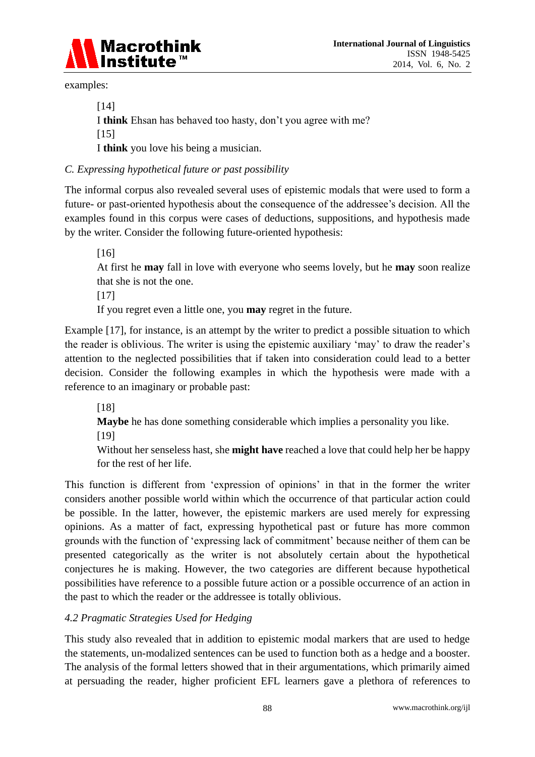

examples:

[14] I **think** Ehsan has behaved too hasty, don't you agree with me? [15] I **think** you love his being a musician.

*C. Expressing hypothetical future or past possibility* 

The informal corpus also revealed several uses of epistemic modals that were used to form a future- or past-oriented hypothesis about the consequence of the addressee's decision. All the examples found in this corpus were cases of deductions, suppositions, and hypothesis made by the writer. Consider the following future-oriented hypothesis:

[16]

At first he **may** fall in love with everyone who seems lovely, but he **may** soon realize that she is not the one.

 $[17]$ 

If you regret even a little one, you **may** regret in the future.

Example [17], for instance, is an attempt by the writer to predict a possible situation to which the reader is oblivious. The writer is using the epistemic auxiliary 'may' to draw the reader's attention to the neglected possibilities that if taken into consideration could lead to a better decision. Consider the following examples in which the hypothesis were made with a reference to an imaginary or probable past:

[18]

**Maybe** he has done something considerable which implies a personality you like.

[19]

Without her senseless hast, she **might have** reached a love that could help her be happy for the rest of her life.

This function is different from 'expression of opinions' in that in the former the writer considers another possible world within which the occurrence of that particular action could be possible. In the latter, however, the epistemic markers are used merely for expressing opinions. As a matter of fact, expressing hypothetical past or future has more common grounds with the function of 'expressing lack of commitment' because neither of them can be presented categorically as the writer is not absolutely certain about the hypothetical conjectures he is making. However, the two categories are different because hypothetical possibilities have reference to a possible future action or a possible occurrence of an action in the past to which the reader or the addressee is totally oblivious.

# *4.2 Pragmatic Strategies Used for Hedging*

This study also revealed that in addition to epistemic modal markers that are used to hedge the statements, un-modalized sentences can be used to function both as a hedge and a booster. The analysis of the formal letters showed that in their argumentations, which primarily aimed at persuading the reader, higher proficient EFL learners gave a plethora of references to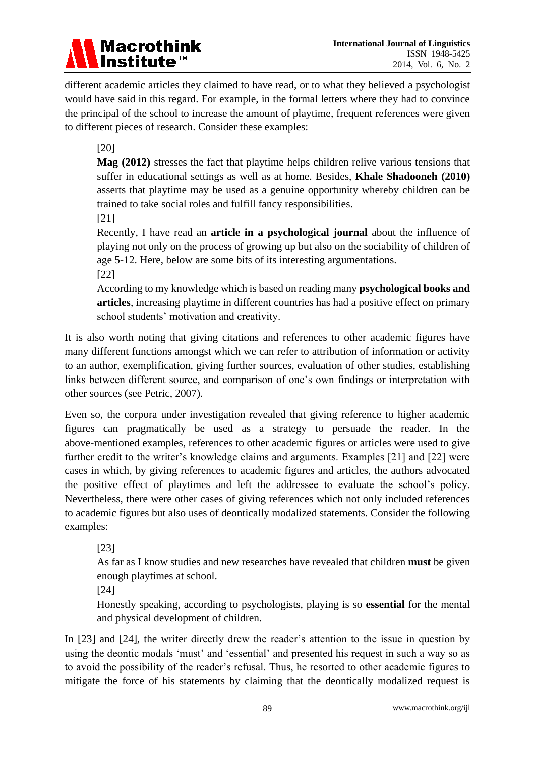# Macrothink<br>Institute™

different academic articles they claimed to have read, or to what they believed a psychologist would have said in this regard. For example, in the formal letters where they had to convince the principal of the school to increase the amount of playtime, frequent references were given to different pieces of research. Consider these examples:

[20]

**Mag (2012)** stresses the fact that playtime helps children relive various tensions that suffer in educational settings as well as at home. Besides, **Khale Shadooneh (2010)** asserts that playtime may be used as a genuine opportunity whereby children can be trained to take social roles and fulfill fancy responsibilities.

[21]

Recently, I have read an **article in a psychological journal** about the influence of playing not only on the process of growing up but also on the sociability of children of age 5-12. Here, below are some bits of its interesting argumentations.

[22]

According to my knowledge which is based on reading many **psychological books and articles**, increasing playtime in different countries has had a positive effect on primary school students' motivation and creativity.

It is also worth noting that giving citations and references to other academic figures have many different functions amongst which we can refer to attribution of information or activity to an author, exemplification, giving further sources, evaluation of other studies, establishing links between different source, and comparison of one's own findings or interpretation with other sources (see Petric, 2007).

Even so, the corpora under investigation revealed that giving reference to higher academic figures can pragmatically be used as a strategy to persuade the reader. In the above-mentioned examples, references to other academic figures or articles were used to give further credit to the writer's knowledge claims and arguments. Examples [21] and [22] were cases in which, by giving references to academic figures and articles, the authors advocated the positive effect of playtimes and left the addressee to evaluate the school's policy. Nevertheless, there were other cases of giving references which not only included references to academic figures but also uses of deontically modalized statements. Consider the following examples:

[23]

As far as I know studies and new researches have revealed that children **must** be given enough playtimes at school.

[24]

Honestly speaking, according to psychologists, playing is so **essential** for the mental and physical development of children.

In [23] and [24], the writer directly drew the reader's attention to the issue in question by using the deontic modals 'must' and 'essential' and presented his request in such a way so as to avoid the possibility of the reader's refusal. Thus, he resorted to other academic figures to mitigate the force of his statements by claiming that the deontically modalized request is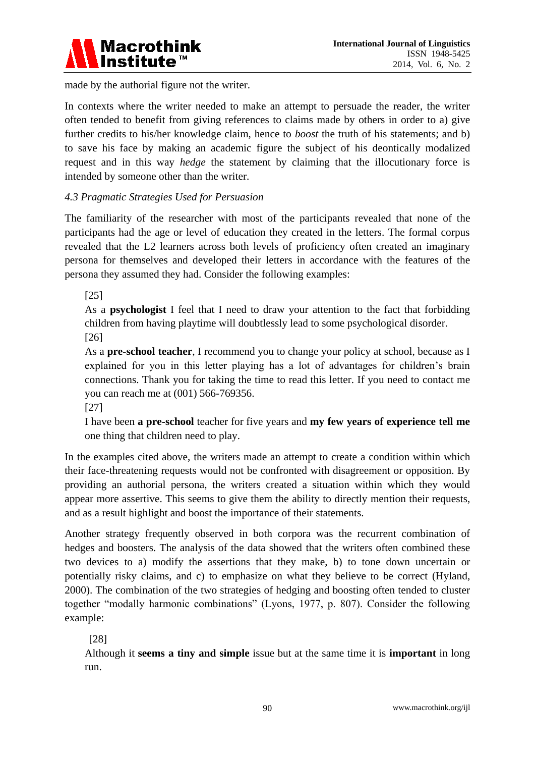

made by the authorial figure not the writer.

In contexts where the writer needed to make an attempt to persuade the reader, the writer often tended to benefit from giving references to claims made by others in order to a) give further credits to his/her knowledge claim, hence to *boost* the truth of his statements; and b) to save his face by making an academic figure the subject of his deontically modalized request and in this way *hedge* the statement by claiming that the illocutionary force is intended by someone other than the writer.

# *4.3 Pragmatic Strategies Used for Persuasion*

The familiarity of the researcher with most of the participants revealed that none of the participants had the age or level of education they created in the letters. The formal corpus revealed that the L2 learners across both levels of proficiency often created an imaginary persona for themselves and developed their letters in accordance with the features of the persona they assumed they had. Consider the following examples:

[25]

As a **psychologist** I feel that I need to draw your attention to the fact that forbidding children from having playtime will doubtlessly lead to some psychological disorder. [26]

As a **pre-school teacher**, I recommend you to change your policy at school, because as I explained for you in this letter playing has a lot of advantages for children's brain connections. Thank you for taking the time to read this letter. If you need to contact me you can reach me at (001) 566-769356.

[27]

I have been **a pre-school** teacher for five years and **my few years of experience tell me** one thing that children need to play.

In the examples cited above, the writers made an attempt to create a condition within which their face-threatening requests would not be confronted with disagreement or opposition. By providing an authorial persona, the writers created a situation within which they would appear more assertive. This seems to give them the ability to directly mention their requests, and as a result highlight and boost the importance of their statements.

Another strategy frequently observed in both corpora was the recurrent combination of hedges and boosters. The analysis of the data showed that the writers often combined these two devices to a) modify the assertions that they make, b) to tone down uncertain or potentially risky claims, and c) to emphasize on what they believe to be correct (Hyland, 2000). The combination of the two strategies of hedging and boosting often tended to cluster together "modally harmonic combinations" (Lyons, 1977, p. 807). Consider the following example:

# [28]

Although it **seems a tiny and simple** issue but at the same time it is **important** in long run.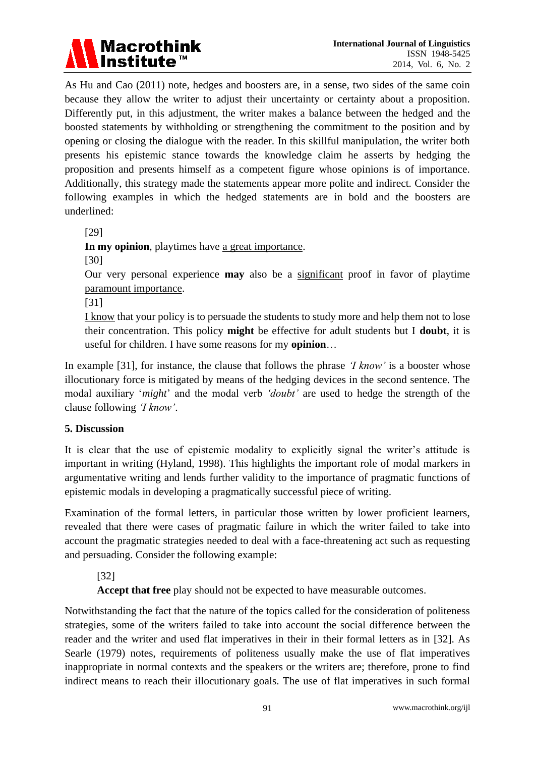

As Hu and Cao (2011) note, hedges and boosters are, in a sense, two sides of the same coin because they allow the writer to adjust their uncertainty or certainty about a proposition. Differently put, in this adjustment, the writer makes a balance between the hedged and the boosted statements by withholding or strengthening the commitment to the position and by opening or closing the dialogue with the reader. In this skillful manipulation, the writer both presents his epistemic stance towards the knowledge claim he asserts by hedging the proposition and presents himself as a competent figure whose opinions is of importance. Additionally, this strategy made the statements appear more polite and indirect. Consider the following examples in which the hedged statements are in bold and the boosters are underlined:

[29]

**In my opinion**, playtimes have a great importance.

[30]

Our very personal experience **may** also be a significant proof in favor of playtime paramount importance.

[31]

I know that your policy is to persuade the students to study more and help them not to lose their concentration. This policy **might** be effective for adult students but I **doubt**, it is useful for children. I have some reasons for my **opinion**…

In example [31], for instance, the clause that follows the phrase *'I know'* is a booster whose illocutionary force is mitigated by means of the hedging devices in the second sentence. The modal auxiliary '*might*' and the modal verb *'doubt'* are used to hedge the strength of the clause following *'I know'*.

# **5. Discussion**

It is clear that the use of epistemic modality to explicitly signal the writer's attitude is important in writing (Hyland, 1998). This highlights the important role of modal markers in argumentative writing and lends further validity to the importance of pragmatic functions of epistemic modals in developing a pragmatically successful piece of writing.

Examination of the formal letters, in particular those written by lower proficient learners, revealed that there were cases of pragmatic failure in which the writer failed to take into account the pragmatic strategies needed to deal with a face-threatening act such as requesting and persuading. Consider the following example:

# [32]

**Accept that free** play should not be expected to have measurable outcomes.

Notwithstanding the fact that the nature of the topics called for the consideration of politeness strategies, some of the writers failed to take into account the social difference between the reader and the writer and used flat imperatives in their in their formal letters as in [32]. As Searle (1979) notes, requirements of politeness usually make the use of flat imperatives inappropriate in normal contexts and the speakers or the writers are; therefore, prone to find indirect means to reach their illocutionary goals. The use of flat imperatives in such formal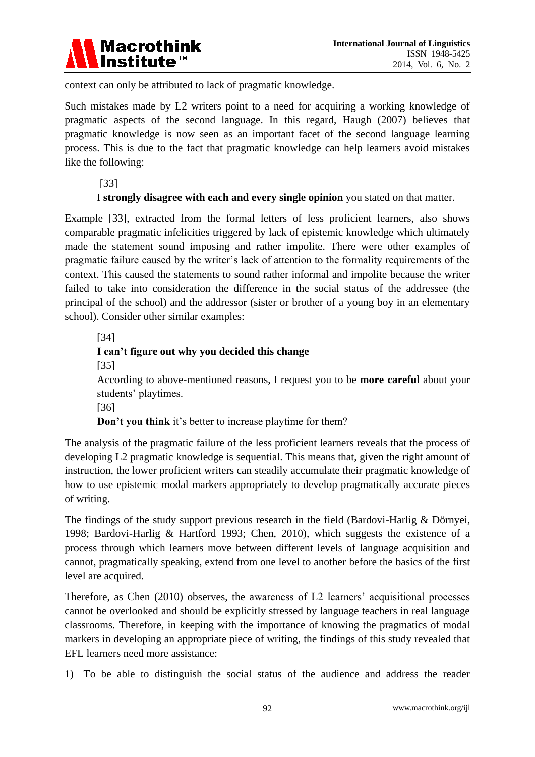

context can only be attributed to lack of pragmatic knowledge.

Such mistakes made by L2 writers point to a need for acquiring a working knowledge of pragmatic aspects of the second language. In this regard, Haugh (2007) believes that pragmatic knowledge is now seen as an important facet of the second language learning process. This is due to the fact that pragmatic knowledge can help learners avoid mistakes like the following:

[33]

I **strongly disagree with each and every single opinion** you stated on that matter.

Example [33], extracted from the formal letters of less proficient learners, also shows comparable pragmatic infelicities triggered by lack of epistemic knowledge which ultimately made the statement sound imposing and rather impolite. There were other examples of pragmatic failure caused by the writer's lack of attention to the formality requirements of the context. This caused the statements to sound rather informal and impolite because the writer failed to take into consideration the difference in the social status of the addressee (the principal of the school) and the addressor (sister or brother of a young boy in an elementary school). Consider other similar examples:

[34] **I can't figure out why you decided this change**  [35] According to above-mentioned reasons, I request you to be **more careful** about your students' playtimes. [36] **Don't you think** it's better to increase playtime for them?

The analysis of the pragmatic failure of the less proficient learners reveals that the process of developing L2 pragmatic knowledge is sequential. This means that, given the right amount of instruction, the lower proficient writers can steadily accumulate their pragmatic knowledge of how to use epistemic modal markers appropriately to develop pragmatically accurate pieces of writing.

The findings of the study support previous research in the field (Bardovi-Harlig & Dörnyei, 1998; Bardovi-Harlig & Hartford 1993; Chen, 2010), which suggests the existence of a process through which learners move between different levels of language acquisition and cannot, pragmatically speaking, extend from one level to another before the basics of the first level are acquired.

Therefore, as Chen (2010) observes, the awareness of L2 learners' acquisitional processes cannot be overlooked and should be explicitly stressed by language teachers in real language classrooms. Therefore, in keeping with the importance of knowing the pragmatics of modal markers in developing an appropriate piece of writing, the findings of this study revealed that EFL learners need more assistance:

1) To be able to distinguish the social status of the audience and address the reader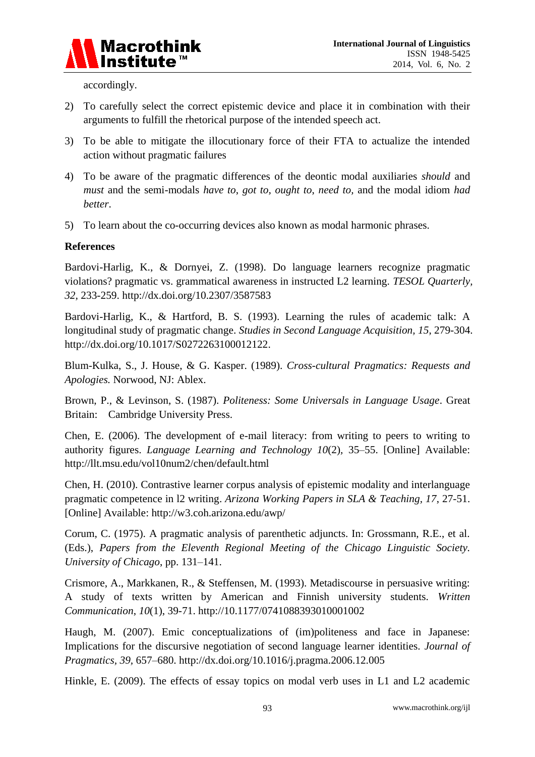

accordingly.

- 2) To carefully select the correct epistemic device and place it in combination with their arguments to fulfill the rhetorical purpose of the intended speech act.
- 3) To be able to mitigate the illocutionary force of their FTA to actualize the intended action without pragmatic failures
- 4) To be aware of the pragmatic differences of the deontic modal auxiliaries *should* and *must* and the semi-modals *have to*, *got to, ought to*, *need to,* and the modal idiom *had better*.
- 5) To learn about the co-occurring devices also known as modal harmonic phrases.

# **References**

Bardovi-Harlig, K., & Dornyei, Z. (1998). Do language learners recognize pragmatic violations? pragmatic vs. grammatical awareness in instructed L2 learning. *TESOL Quarterly, 32,* 233-259. http://dx.doi.org/10.2307/3587583

Bardovi-Harlig, K., & Hartford, B. S. (1993). Learning the rules of academic talk: A longitudinal study of pragmatic change. *Studies in Second Language Acquisition, 15*, 279-304. http://dx.doi.org/10.1017/S0272263100012122.

Blum-Kulka, S., J. House, & G. Kasper. (1989). *Cross-cultural Pragmatics: Requests and Apologies.* Norwood, NJ: Ablex.

Brown, P., & Levinson, S. (1987). *Politeness: Some Universals in Language Usage*. Great Britain: Cambridge University Press.

Chen, E. (2006). The development of e-mail literacy: from writing to peers to writing to authority figures. *Language Learning and Technology 10*(2)*,* 35–55. [Online] Available: http://llt.msu.edu/vol10num2/chen/default.html

Chen, H. (2010). Contrastive learner corpus analysis of epistemic modality and interlanguage pragmatic competence in l2 writing. *Arizona Working Papers in SLA & Teaching, 17*, 27-51. [Online] Available: http://w3.coh.arizona.edu/awp/

Corum, C. (1975). A pragmatic analysis of parenthetic adjuncts. In: Grossmann, R.E., et al. (Eds.), *Papers from the Eleventh Regional Meeting of the Chicago Linguistic Society. University of Chicago*, pp. 131–141.

Crismore, A., Markkanen, R., & Steffensen, M. (1993). Metadiscourse in persuasive writing: A study of texts written by American and Finnish university students. *Written Communication*, *10*(1), 39-71. http://10.1177/0741088393010001002

Haugh, M. (2007). Emic conceptualizations of (im)politeness and face in Japanese: Implications for the discursive negotiation of second language learner identities. *Journal of Pragmatics, 39,* 657–680. http://dx.doi.org/10.1016/j.pragma.2006.12.005

Hinkle, E. (2009). The effects of essay topics on modal verb uses in L1 and L2 academic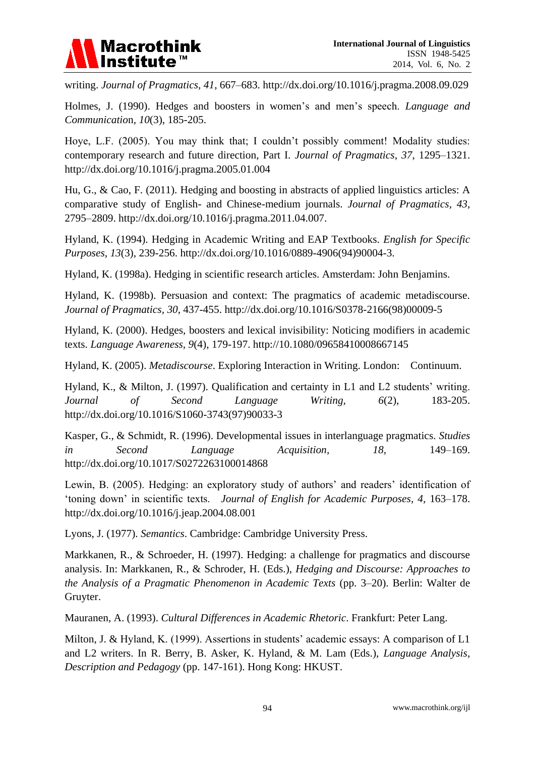

writing. *Journal of Pragmatics, 41*, 667–683. http://dx.doi.org/10.1016/j.pragma.2008.09.029

Holmes, J. (1990). Hedges and boosters in women's and men's speech. *Language and Communicatio*n*, 10*(3), 185-205.

Hoye, L.F. (2005). You may think that; I couldn't possibly comment! Modality studies: contemporary research and future direction, Part I. *Journal of Pragmatics, 37*, 1295–1321. http://dx.doi.org/10.1016/j.pragma.2005.01.004

Hu, G., & Cao, F. (2011). Hedging and boosting in abstracts of applied linguistics articles: A comparative study of English- and Chinese-medium journals. *Journal of Pragmatics, 43,*  2795–2809. http://dx.doi.org/10.1016/j.pragma.2011.04.007.

Hyland, K. (1994). Hedging in Academic Writing and EAP Textbooks. *English for Specific Purposes*, *13*(3), 239-256. http://dx.doi.org/10.1016/0889-4906(94)90004-3.

Hyland, K. (1998a). Hedging in scientific research articles. Amsterdam: John Benjamins.

Hyland, K. (1998b). Persuasion and context: The pragmatics of academic metadiscourse. *Journal of Pragmatics, 30*, 437-455. http://dx.doi.org/10.1016/S0378-2166(98)00009-5

Hyland, K. (2000). Hedges, boosters and lexical invisibility: Noticing modifiers in academic texts. *Language Awareness, 9*(4), 179-197. http://10.1080/09658410008667145

Hyland, K. (2005). *Metadiscourse*. Exploring Interaction in Writing. London: Continuum.

Hyland, K., & Milton, J. (1997). Qualification and certainty in L1 and L2 students' writing. *Journal of Second Language Writing, 6*(2), 183-205. http://dx.doi.org/10.1016/S1060-3743(97)90033-3

Kasper, G., & Schmidt, R. (1996). Developmental issues in interlanguage pragmatics. *Studies in Second Language Acquisition, 18,* 149–169. http://dx.doi.org/10.1017/S0272263100014868

Lewin, B. (2005). Hedging: an exploratory study of authors' and readers' identification of 'toning down' in scientific texts. *Journal of English for Academic Purposes, 4,* 163–178. http://dx.doi.org/10.1016/j.jeap.2004.08.001

Lyons, J. (1977). *Semantics*. Cambridge: Cambridge University Press.

Markkanen, R., & Schroeder, H. (1997). Hedging: a challenge for pragmatics and discourse analysis. In: Markkanen, R., & Schroder, H. (Eds.), *Hedging and Discourse: Approaches to the Analysis of a Pragmatic Phenomenon in Academic Texts* (pp. 3–20). Berlin: Walter de Gruyter.

Mauranen, A. (1993). *Cultural Differences in Academic Rhetoric*. Frankfurt: Peter Lang.

Milton, J. & Hyland, K. (1999). Assertions in students' academic essays: A comparison of L1 and L2 writers. In R. Berry, B. Asker, K. Hyland, & M. Lam (Eds.), *Language Analysis, Description and Pedagogy* (pp. 147-161). Hong Kong: HKUST.